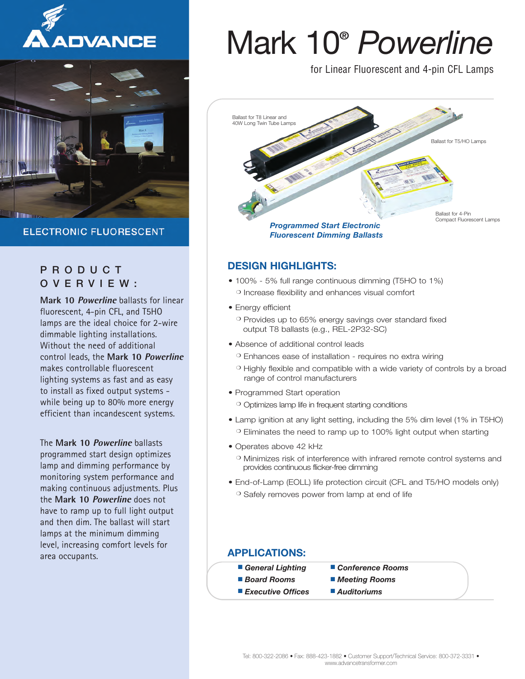



**ELECTRONIC FLUORESCENT** 

### P R O D U C T O V E R V I E W :

**Mark 10 Powerline** ballasts for linear fluorescent, 4-pin CFL, and T5HO lamps are the ideal choice for 2-wire dimmable lighting installations. Without the need of additional control leads, the **Mark 10 Powerline** makes controllable fluorescent lighting systems as fast and as easy to install as fixed output systems while being up to 80% more energy efficient than incandescent systems.

The **Mark 10 Powerline** ballasts programmed start design optimizes lamp and dimming performance by monitoring system performance and making continuous adjustments. Plus the **Mark 10 Powerline** does not have to ramp up to full light output and then dim. The ballast will start lamps at the minimum dimming level, increasing comfort levels for area occupants.

# Mark 10**®** *Powerline*

for Linear Fluorescent and 4-pin CFL Lamps



### **DESIGN HIGHLIGHTS:**

- 100% 5% full range continuous dimming (T5HO to 1%) **❍** Increase flexibility and enhances visual comfort
- Energy efficient
	- **❍** Provides up to 65% energy savings over standard fixed output T8 ballasts (e.g., REL-2P32-SC)
- Absence of additional control leads
	- **❍** Enhances ease of installation requires no extra wiring
	- **❍** Highly flexible and compatible with a wide variety of controls by a broad range of control manufacturers
- Programmed Start operation

**❍** Optimizes lamp life in frequent starting conditions

- Lamp ignition at any light setting, including the 5% dim level (1% in T5HO) **❍** Eliminates the need to ramp up to 100% light output when starting
- Operates above 42 kHz
	- **❍** Minimizes risk of interference with infrared remote control systems and provides continuous flicker-free dimming
- End-of-Lamp (EOLL) life protection circuit (CFL and T5/HO models only) **❍** Safely removes power from lamp at end of life

### **APPLICATIONS:**

- **■** *General Lighting* **■** *Conference Rooms*
- *Board Rooms Meeting Rooms*
- **■** *Executive Offices* **■** *Auditoriums*
-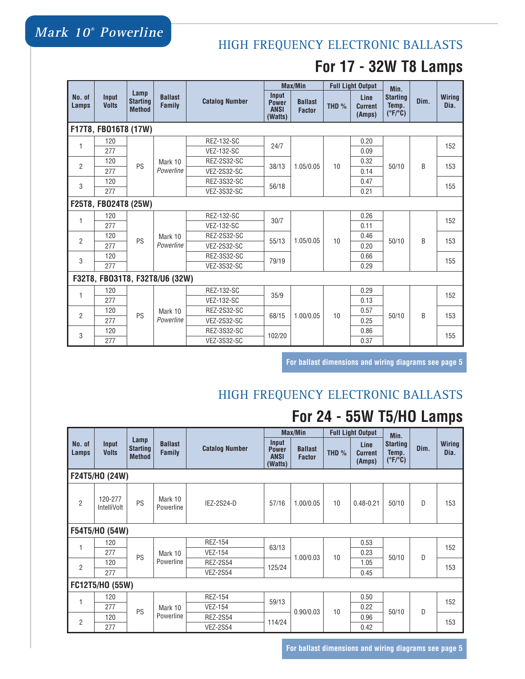### HIGH FREQUENCY ELECTRONIC BALLASTS

### **For 17 - 32W T8 Lamps**

|                      |                       |                                          | <b>Ballast</b><br><b>Family</b> | <b>Catalog Number</b> |                                                 | <b>Max/Min</b>                  |         | <b>Full Light Output</b>         | Min.                                                |      |                       |
|----------------------|-----------------------|------------------------------------------|---------------------------------|-----------------------|-------------------------------------------------|---------------------------------|---------|----------------------------------|-----------------------------------------------------|------|-----------------------|
| No. of<br>Lamps      | Input<br><b>Volts</b> | Lamp<br><b>Starting</b><br><b>Method</b> |                                 |                       | Input<br><b>Power</b><br><b>ANSI</b><br>(Watts) | <b>Ballast</b><br><b>Factor</b> | THD $%$ | Line<br><b>Current</b><br>(Amps) | <b>Starting</b><br>Temp.<br>$(^{\circ}F/^{\circ}C)$ | Dim. | <b>Wiring</b><br>Dia. |
|                      | F17T8, FB016T8 (17W)  |                                          |                                 |                       |                                                 |                                 |         |                                  |                                                     |      |                       |
| 1                    | 120                   |                                          |                                 | REZ-132-SC            | 24/7                                            |                                 | 10      | 0.20                             | 50/10                                               | B    | 152                   |
|                      | 277                   |                                          |                                 | <b>VEZ-132-SC</b>     |                                                 |                                 |         | 0.09                             |                                                     |      |                       |
| $\overline{2}$       | 120                   | PS                                       | Mark 10                         | REZ-2S32-SC           | 38/13                                           | 1.05/0.05                       |         | 0.32                             |                                                     |      | 153                   |
|                      | 277                   |                                          | Powerline                       | <b>VEZ-2S32-SC</b>    |                                                 |                                 |         | 0.14                             |                                                     |      |                       |
| 3                    | 120                   |                                          |                                 | REZ-3S32-SC           | 56/18                                           |                                 |         | 0.47                             |                                                     |      | 155                   |
|                      | 277                   |                                          |                                 | <b>VEZ-3S32-SC</b>    |                                                 |                                 |         | 0.21                             |                                                     |      |                       |
| F25T8, FB024T8 (25W) |                       |                                          |                                 |                       |                                                 |                                 |         |                                  |                                                     |      |                       |
| 1                    | 120                   |                                          | Mark 10<br>Powerline            | REZ-132-SC            | 30/7                                            |                                 |         | 0.26                             | 50/10                                               | R    | 152                   |
|                      | 277                   | PS                                       |                                 | <b>VEZ-132-SC</b>     |                                                 |                                 | 10      | 0.11                             |                                                     |      |                       |
| $\overline{2}$       | 120                   |                                          |                                 | REZ-2S32-SC           | 55/13                                           | 1.05/0.05                       |         | 0.46                             |                                                     |      | 153                   |
|                      | 277                   |                                          |                                 | <b>VEZ-2S32-SC</b>    |                                                 |                                 |         | 0.20                             |                                                     |      |                       |
| 3                    | 120                   |                                          |                                 | REZ-3S32-SC           | 79/19                                           |                                 |         | 0.66                             |                                                     |      | 155                   |
|                      | 277                   |                                          |                                 | <b>VEZ-3S32-SC</b>    |                                                 |                                 |         | 0.29                             |                                                     |      |                       |
|                      |                       |                                          | F32T8, FB031T8, F32T8/U6 (32W)  |                       |                                                 |                                 |         |                                  |                                                     |      |                       |
| 1                    | 120                   |                                          |                                 | REZ-132-SC            |                                                 |                                 |         | 0.29                             | 50/10                                               |      | 152                   |
|                      | 277                   |                                          |                                 | <b>VEZ-132-SC</b>     | 35/9                                            | 1.00/0.05                       | 10      | 0.13                             |                                                     |      |                       |
| $\overline{2}$       | 120                   | PS                                       | Mark 10                         | REZ-2S32-SC           | 68/15<br>102/20                                 |                                 |         | 0.57                             |                                                     | R    | 153                   |
|                      | 277                   |                                          | Powerline                       | <b>VEZ-2S32-SC</b>    |                                                 |                                 |         | 0.25                             |                                                     |      |                       |
| 3                    | 120                   |                                          |                                 | REZ-3S32-SC           |                                                 |                                 |         | 0.86                             |                                                     |      | 155                   |
|                      | 277                   |                                          |                                 | <b>VEZ-3S32-SC</b>    |                                                 |                                 |         | 0.37                             |                                                     |      |                       |

**For ballast dimensions and wiring diagrams see page 5**

### HIGH FREQUENCY ELECTRONIC BALLASTS

# **For 24 - 55W T5/HO Lamps**

|                 | <b>Input</b><br><b>Volts</b> | Lamp<br><b>Starting</b><br><b>Method</b> | <b>Ballast</b><br><b>Family</b> | <b>Catalog Number</b> |                                                 | Max/Min                         | <b>Full Light Output</b> |                                  | Min.                                                |      |                       |
|-----------------|------------------------------|------------------------------------------|---------------------------------|-----------------------|-------------------------------------------------|---------------------------------|--------------------------|----------------------------------|-----------------------------------------------------|------|-----------------------|
| No. of<br>Lamps |                              |                                          |                                 |                       | Input<br><b>Power</b><br><b>ANSI</b><br>(Watts) | <b>Ballast</b><br><b>Factor</b> | THD $%$                  | Line<br><b>Current</b><br>(Amps) | <b>Starting</b><br>Temp.<br>$(^{\circ}F/^{\circ}C)$ | Dim. | <b>Wiring</b><br>Dia. |
|                 | F24T5/H0 (24W)               |                                          |                                 |                       |                                                 |                                 |                          |                                  |                                                     |      |                       |
| $\overline{2}$  | 120-277<br>IntelliVolt       | PS                                       | Mark 10<br>Powerline            | IEZ-2S24-D            | 57/16                                           | 1.00/0.05                       | 10                       | $0.48 - 0.21$                    | 50/10                                               | D    | 153                   |
|                 | F54T5/H0 (54W)               |                                          |                                 |                       |                                                 |                                 |                          |                                  |                                                     |      |                       |
|                 | 120                          |                                          | Mark 10                         | <b>REZ-154</b>        | 63/13                                           |                                 |                          | 0.53                             | 50/10                                               | D    | 152                   |
|                 | 277                          | PS                                       |                                 | <b>VEZ-154</b>        |                                                 | 1.00/0.03                       | 10                       | 0.23                             |                                                     |      |                       |
| 2               | 120                          |                                          | Powerline                       | <b>REZ-2S54</b>       | 125/24                                          |                                 |                          | 1.05                             |                                                     |      | 153                   |
|                 | 277                          |                                          |                                 | <b>VEZ-2S54</b>       |                                                 |                                 |                          | 0.45                             |                                                     |      |                       |
|                 | FC12T5/H0 (55W)              |                                          |                                 |                       |                                                 |                                 |                          |                                  |                                                     |      |                       |
|                 | 120                          | PS                                       | Mark 10<br>Powerline            | <b>REZ-154</b>        | 59/13                                           | 0.90/0.03                       | 10                       | 0.50                             | 50/10                                               |      | 152                   |
|                 | 277                          |                                          |                                 | <b>VEZ-154</b>        |                                                 |                                 |                          | 0.22                             |                                                     | D    |                       |
|                 | 120                          |                                          |                                 | <b>REZ-2S54</b>       |                                                 |                                 |                          | 0.96                             |                                                     |      | 153                   |
| $\overline{2}$  | 277                          |                                          |                                 | <b>VEZ-2S54</b>       | 114/24                                          |                                 |                          | 0.42                             |                                                     |      |                       |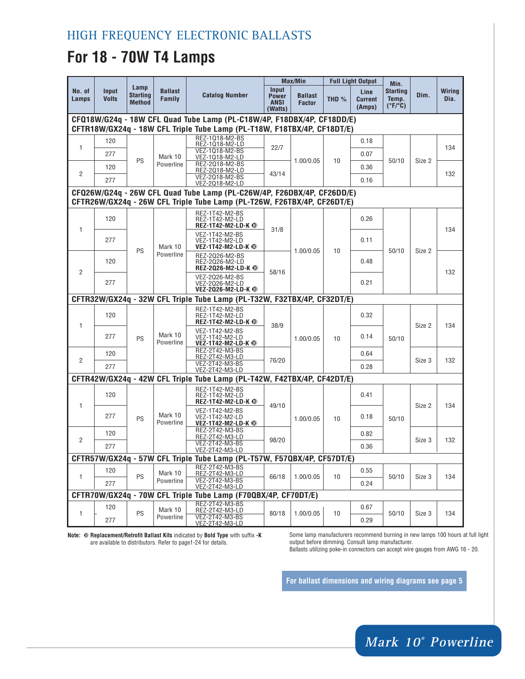### **For 18 - 70W T4 Lamps**

|                                                                                                                                                   | Input<br><b>Volts</b> | Lamp<br><b>Starting</b><br><b>Method</b> | <b>Ballast</b><br>Family | <b>Catalog Number</b>                                                   |                                                               | <b>Max/Min</b>                  | <b>Full Light Output</b> |                                  | Min.                                                |        |                       |  |
|---------------------------------------------------------------------------------------------------------------------------------------------------|-----------------------|------------------------------------------|--------------------------|-------------------------------------------------------------------------|---------------------------------------------------------------|---------------------------------|--------------------------|----------------------------------|-----------------------------------------------------|--------|-----------------------|--|
| No. of<br>Lamps                                                                                                                                   |                       |                                          |                          |                                                                         | Input<br><b>Power</b><br><b>ANSI</b><br>(Watts)               | <b>Ballast</b><br><b>Factor</b> | THD $%$                  | Line<br><b>Current</b><br>(Amps) | <b>Starting</b><br>Temp.<br>$(^{\circ}F/^{\circ}C)$ | Dim.   | <b>Wiring</b><br>Dia. |  |
| CFQ18W/G24q - 18W CFL Quad Tube Lamp (PL-C18W/4P, F18DBX/4P, CF18DD/E)<br>CFTR18W/GX24q - 18W CFL Triple Tube Lamp (PL-T18W, F18TBX/4P, CF18DT/E) |                       |                                          |                          |                                                                         |                                                               |                                 |                          |                                  |                                                     |        |                       |  |
| 1                                                                                                                                                 | 120                   |                                          |                          | REZ-1018-M2-BS<br>REZ-1018-M2-LD                                        | 22/7                                                          |                                 |                          | 0.18                             |                                                     |        |                       |  |
|                                                                                                                                                   | 277                   |                                          | Mark 10                  | VEZ-1018-M2-BS<br>VEZ-1Q18-M2-LD                                        |                                                               |                                 | 0.07                     |                                  |                                                     | 134    |                       |  |
| $\overline{2}$                                                                                                                                    | 120                   | PS                                       | Powerline                | REZ-2018-M2-BS<br>REZ-2018-M2-LD                                        | 43/14                                                         | 1.00/0.05                       | 10                       | 0.36                             | 50/10                                               | Size 2 | 132                   |  |
|                                                                                                                                                   | 277                   |                                          |                          | VEZ-2018-M2-BS<br>VEZ-2018-M2-LD                                        |                                                               |                                 |                          | 0.16                             |                                                     |        |                       |  |
| CFQ26W/G24q - 26W CFL Quad Tube Lamp (PL-C26W/4P, F26DBX/4P, CF26DD/E)<br>CFTR26W/GX24q - 26W CFL Triple Tube Lamp (PL-T26W, F26TBX/4P, CF26DT/E) |                       |                                          |                          |                                                                         |                                                               |                                 |                          |                                  |                                                     |        |                       |  |
|                                                                                                                                                   | 120                   |                                          |                          | REZ-1T42-M2-BS<br>REZ-1T42-M2-LD<br>REZ-1T42-M2-LD-K <sup>1</sup>       |                                                               |                                 |                          | 0.26                             | 50/10                                               | Size 2 |                       |  |
| 1                                                                                                                                                 | 277                   | PS                                       | Mark 10                  | VEZ-1T42-M2-BS<br>VEZ-1T42-M2-LD<br>VEZ-1T42-M2-LD-K <sup>@</sup>       | 31/8                                                          |                                 | 10                       | 0.11                             |                                                     |        | 134                   |  |
| $\overline{2}$                                                                                                                                    | 120                   |                                          | Powerline                | REZ-2026-M2-BS<br>REZ-2026-M2-LD<br>REZ-2026-M2-LD-K <sup>1</sup>       | 58/16                                                         | 1.00/0.05                       |                          | 0.48                             |                                                     |        | 132                   |  |
|                                                                                                                                                   | 277                   |                                          |                          | VEZ-2026-M2-BS<br>VEZ-2026-M2-LD<br>VEZ-2026-M2-LD-K <sup>1</sup>       |                                                               |                                 |                          | 0.21                             |                                                     |        |                       |  |
|                                                                                                                                                   |                       |                                          |                          | CFTR32W/GX24q - 32W CFL Triple Tube Lamp (PL-T32W, F32TBX/4P, CF32DT/E) |                                                               |                                 |                          |                                  |                                                     |        |                       |  |
| 1                                                                                                                                                 | 120                   | PS                                       |                          | REZ-1T42-M2-BS<br>REZ-1T42-M2-LD<br>REZ-1T42-M2-LD-K <sup>1</sup>       | 38/9                                                          |                                 |                          | 0.32                             |                                                     | Size 2 | 134                   |  |
|                                                                                                                                                   | 277                   |                                          |                          | Mark 10<br>Powerline                                                    | VEZ-1T42-M2-BS<br>VEZ-1T42-M2-LD<br><b>VEZ-1T42-M2-LD-K 1</b> |                                 | 1.00/0.05                | 10                               | 0.14                                                | 50/10  |                       |  |
|                                                                                                                                                   | 120                   |                                          |                          | REZ-2T42-M3-BS<br>REZ-2T42-M3-LD                                        |                                                               |                                 |                          | 0.64                             |                                                     | Size 3 | 132                   |  |
| 2                                                                                                                                                 | 277                   |                                          |                          | VEZ-2T42-M3-BS<br>VEZ-2T42-M3-LD                                        | 76/20                                                         |                                 |                          | 0.28                             |                                                     |        |                       |  |
|                                                                                                                                                   |                       |                                          |                          | CFTR42W/GX24q - 42W CFL Triple Tube Lamp (PL-T42W, F42TBX/4P, CF42DT/E) |                                                               |                                 |                          |                                  |                                                     |        |                       |  |
| 1                                                                                                                                                 | 120                   |                                          |                          | REZ-1T42-M2-BS<br>REZ-1T42-M2-LD<br>REZ-1T42-M2-LD-K <sup>®</sup>       | 49/10                                                         |                                 |                          | 0.41                             |                                                     |        | 134                   |  |
|                                                                                                                                                   | 277                   | PS                                       | Mark 10<br>Powerline     | VEZ-1T42-M2-BS<br>VEZ-1T42-M2-LD<br>VEZ-1T42-M2-LD-K <sup>@</sup>       |                                                               | 1.00/0.05                       | 10                       | 0.18                             | 50/10                                               | Size 2 |                       |  |
|                                                                                                                                                   | 120                   |                                          |                          | REZ-2T42-M3-BS<br>REZ-2T42-M3-LD                                        |                                                               |                                 |                          | 0.82                             |                                                     | Size 3 |                       |  |
| $\overline{2}$                                                                                                                                    | 277                   |                                          |                          | VEZ-2T42-M3-BS<br>VEZ-2T42-M3-LD                                        | 98/20                                                         |                                 |                          | 0.36                             |                                                     |        | 132                   |  |
|                                                                                                                                                   |                       |                                          |                          | CFTR57W/GX24q - 57W CFL Triple Tube Lamp (PL-T57W, F57QBX/4P, CF57DT/E) |                                                               |                                 |                          |                                  |                                                     |        |                       |  |
| 1                                                                                                                                                 | 120                   | PS                                       | Mark 10                  | REZ-2T42-M3-BS<br>REZ-2T42-M3-LD                                        | 66/18                                                         | 1.00/0.05                       | 10                       | 0.55                             | 50/10                                               | Size 3 | 134                   |  |
|                                                                                                                                                   | 277                   |                                          | Powerline                | VEZ-2T42-M3-BS<br>VEZ-2T42-M3-LD                                        |                                                               |                                 |                          | 0.24                             |                                                     |        |                       |  |
|                                                                                                                                                   |                       |                                          |                          | CFTR70W/GX24q - 70W CFL Triple Tube Lamp (F70QBX/4P, CF70DT/E)          |                                                               |                                 |                          |                                  |                                                     |        |                       |  |
| 1                                                                                                                                                 | 120                   | PS                                       | Mark 10<br>Powerline     | REZ-2T42-M3-BS<br>REZ-2T42-M3-LD<br>VEZ-2T42-M3-BS                      | 80/18                                                         | 1.00/0.05                       | 10                       | 0.67                             | 50/10                                               | Size 3 | 134                   |  |
|                                                                                                                                                   | 277                   |                                          |                          | VEZ-2T42-M3-LD                                                          |                                                               |                                 |                          | 0.29                             |                                                     |        |                       |  |

**Note: ❿ Replacement/Retrofit Ballast Kits** indicated by **Bold Type** with suffix **-K** are available to distributors. Refer to page1-24 for details.

Some lamp manufacturers recommend burning in new lamps 100 hours at full light output before dimming. Consult lamp manufacturer.

Ballasts utilizing poke-in connectors can accept wire gauges from AWG 16 - 20.

**For ballast dimensions and wiring diagrams see page 5**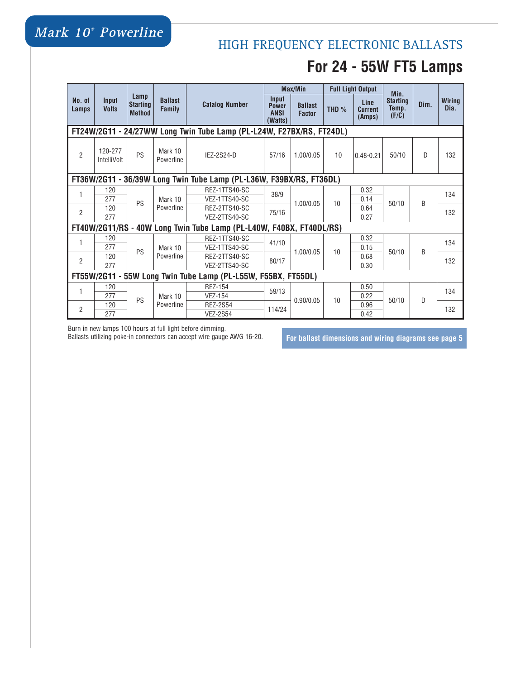# **Mark 10® Powerline**

# HIGH FREQUENCY ELECTRONIC BALLASTS **For 24 - 55W FT5 Lamps**

|                                                                      |                        | Lamp<br><b>Starting</b><br><b>Method</b> | <b>Ballast</b><br><b>Family</b>     | <b>Catalog Number</b>                                               |                                                 | <b>Max/Min</b>                  |         | <b>Full Light Output</b>         | Min.                              |      |                       |  |
|----------------------------------------------------------------------|------------------------|------------------------------------------|-------------------------------------|---------------------------------------------------------------------|-------------------------------------------------|---------------------------------|---------|----------------------------------|-----------------------------------|------|-----------------------|--|
| No. of<br>Lamps                                                      | Input<br><b>Volts</b>  |                                          |                                     |                                                                     | Input<br><b>Power</b><br><b>ANSI</b><br>(Watts) | <b>Ballast</b><br><b>Factor</b> | THD $%$ | Line<br><b>Current</b><br>(Amps) | <b>Starting</b><br>Temp.<br>(F/C) | Dim. | <b>Wiring</b><br>Dia. |  |
| FT24W/2G11 - 24/27WW Long Twin Tube Lamp (PL-L24W, F27BX/RS, FT24DL) |                        |                                          |                                     |                                                                     |                                                 |                                 |         |                                  |                                   |      |                       |  |
| $\overline{2}$                                                       | 120-277<br>IntelliVolt | PS                                       | Mark 10<br>Powerline                | IEZ-2S24-D                                                          | 57/16                                           | 1.00/0.05                       | 10      | $0.48 - 0.21$                    | 50/10                             | D    | 132                   |  |
| FT36W/2G11 - 36/39W Long Twin Tube Lamp (PL-L36W, F39BX/RS, FT36DL)  |                        |                                          |                                     |                                                                     |                                                 |                                 |         |                                  |                                   |      |                       |  |
| 1                                                                    | 120                    |                                          | Mark 10                             | REZ-1TTS40-SC                                                       | 38/9                                            |                                 | 10      | 0.32                             | 50/10                             | B    | 134                   |  |
|                                                                      | 277                    | PS                                       |                                     | VEZ-1TTS40-SC                                                       |                                                 | 1.00/0.05                       |         | 0.14                             |                                   |      |                       |  |
| $\overline{2}$                                                       | 120                    |                                          | Powerline                           | REZ-2TTS40-SC                                                       | 75/16                                           |                                 |         | 0.64                             |                                   |      | 132                   |  |
|                                                                      | 277                    |                                          |                                     | VEZ-2TTS40-SC                                                       |                                                 |                                 |         | 0.27                             |                                   |      |                       |  |
|                                                                      |                        |                                          |                                     | FT40W/2G11/RS - 40W Long Twin Tube Lamp (PL-L40W, F40BX, FT40DL/RS) |                                                 |                                 |         |                                  |                                   |      |                       |  |
| 1                                                                    | 120                    |                                          |                                     | REZ-1TTS40-SC                                                       | 41/10                                           | 1.00/0.05                       | 10      | 0.32                             |                                   | B    | 134                   |  |
|                                                                      | 277                    | PS                                       | Mark 10                             | VEZ-1TTS40-SC                                                       |                                                 |                                 |         | 0.15                             | 50/10                             |      |                       |  |
| $\overline{2}$                                                       | 120                    |                                          | Powerline<br>REZ-2TTS40-SC<br>80/17 |                                                                     |                                                 | 0.68                            |         |                                  | 132                               |      |                       |  |
|                                                                      | 277                    |                                          |                                     | VEZ-2TTS40-SC                                                       |                                                 |                                 |         | 0.30                             |                                   |      |                       |  |
| FT55W/2G11 - 55W Long Twin Tube Lamp (PL-L55W, F55BX, FT55DL)        |                        |                                          |                                     |                                                                     |                                                 |                                 |         |                                  |                                   |      |                       |  |
| 1                                                                    | 120                    |                                          |                                     | <b>REZ-154</b>                                                      | 59/13                                           |                                 | 10      | 0.50                             |                                   |      | 134                   |  |
|                                                                      | 277                    | PS                                       | Mark 10                             | <b>VEZ-154</b>                                                      |                                                 | 0.90/0.05                       |         | 0.22                             | 50/10                             | D    |                       |  |
| $\overline{2}$                                                       | 120                    |                                          | Powerline                           | <b>REZ-2S54</b>                                                     | 114/24                                          |                                 |         | 0.96                             |                                   |      | 132                   |  |
|                                                                      | 277                    |                                          |                                     | <b>VEZ-2S54</b>                                                     |                                                 |                                 |         | 0.42                             |                                   |      |                       |  |

Burn in new lamps 100 hours at full light before dimming.

Ballasts utilizing poke-in connectors can accept wire gauge AWG 16-20. **For ballast dimensions and wiring diagrams see page 5**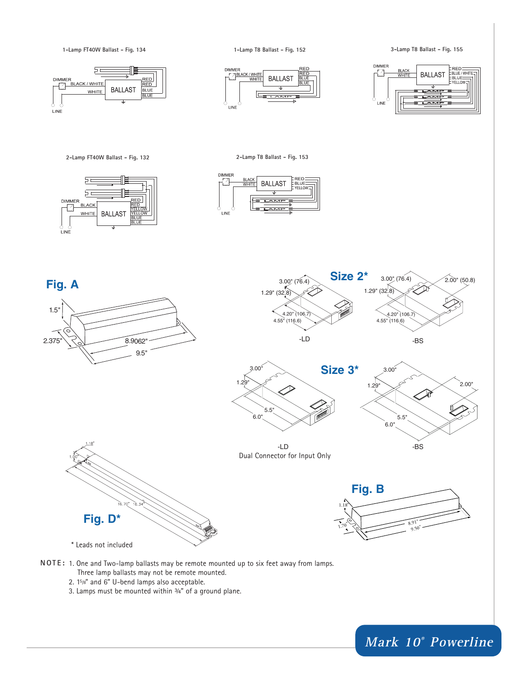

**Mark 10® Powerline**